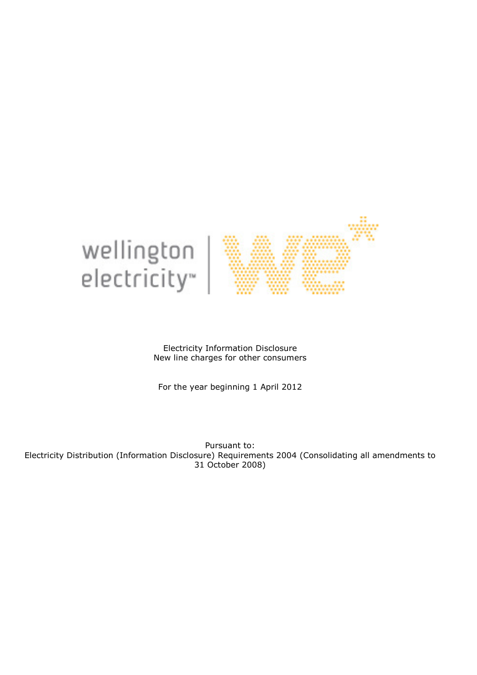

Electricity Information Disclosure New line charges for other consumers

For the year beginning 1 April 2012

Pursuant to: Electricity Distribution (Information Disclosure) Requirements 2004 (Consolidating all amendments to 31 October 2008)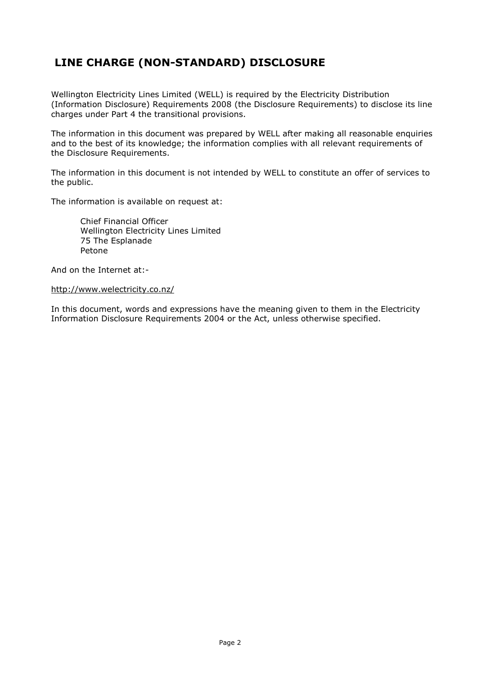## LINE CHARGE (NON-STANDARD) DISCLOSURE

Wellington Electricity Lines Limited (WELL) is required by the Electricity Distribution (Information Disclosure) Requirements 2008 (the Disclosure Requirements) to disclose its line charges under Part 4 the transitional provisions.

The information in this document was prepared by WELL after making all reasonable enquiries and to the best of its knowledge; the information complies with all relevant requirements of the Disclosure Requirements.

The information in this document is not intended by WELL to constitute an offer of services to the public.

The information is available on request at:

Chief Financial Officer Wellington Electricity Lines Limited 75 The Esplanade Petone

And on the Internet at:-

http://www.welectricity.co.nz/

In this document, words and expressions have the meaning given to them in the Electricity Information Disclosure Requirements 2004 or the Act, unless otherwise specified.